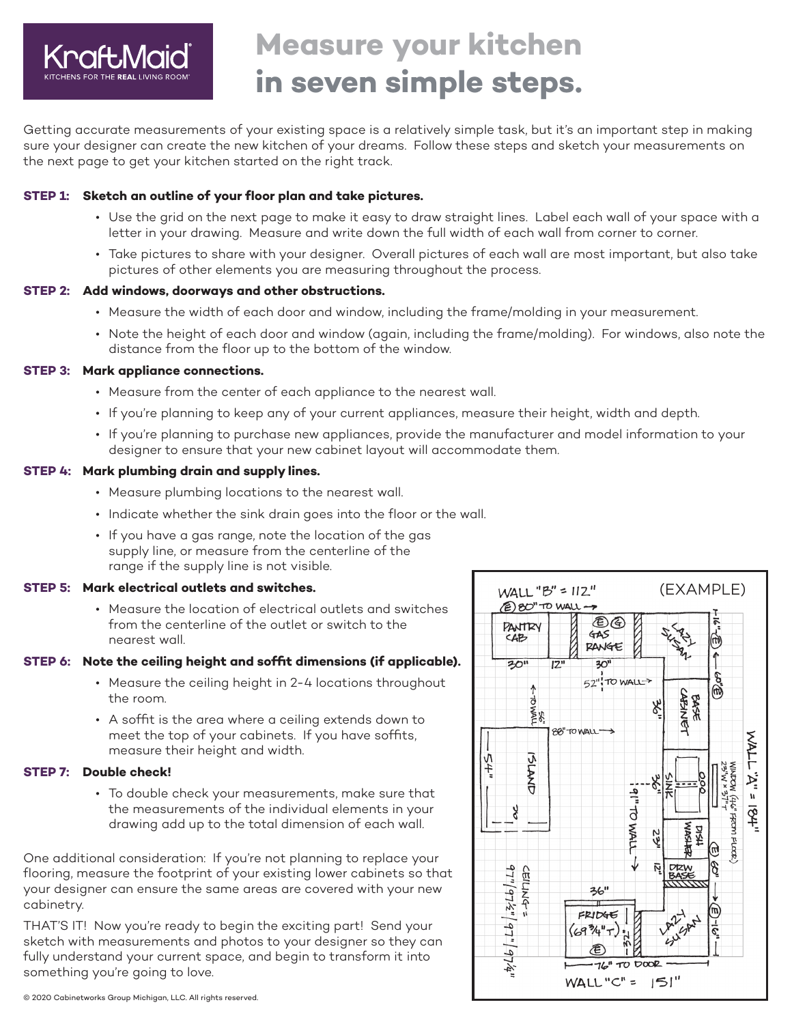

# **Measure your kitchen in seven simple steps.**

Getting accurate measurements of your existing space is a relatively simple task, but it's an important step in making sure your designer can create the new kitchen of your dreams. Follow these steps and sketch your measurements on the next page to get your kitchen started on the right track.

#### **STEP 1: Sketch an outline of your floor plan and take pictures.**

- Use the grid on the next page to make it easy to draw straight lines. Label each wall of your space with a letter in your drawing. Measure and write down the full width of each wall from corner to corner.
- Take pictures to share with your designer. Overall pictures of each wall are most important, but also take pictures of other elements you are measuring throughout the process.

#### **STEP 2: Add windows, doorways and other obstructions.**

- Measure the width of each door and window, including the frame/molding in your measurement.
- Note the height of each door and window (again, including the frame/molding). For windows, also note the distance from the floor up to the bottom of the window.

#### **STEP 3: Mark appliance connections.**

- Measure from the center of each appliance to the nearest wall.
- If you're planning to keep any of your current appliances, measure their height, width and depth.
- If you're planning to purchase new appliances, provide the manufacturer and model information to your designer to ensure that your new cabinet layout will accommodate them.

#### **STEP 4: Mark plumbing drain and supply lines.**

- Measure plumbing locations to the nearest wall.
- Indicate whether the sink drain goes into the floor or the wall.
- If you have a gas range, note the location of the gas supply line, or measure from the centerline of the range if the supply line is not visible.

## **STEP 5: Mark electrical outlets and switches.**

 • Measure the location of electrical outlets and switches from the centerline of the outlet or switch to the nearest wall.

## **STEP 6: Note the ceiling height and soffit dimensions (if applicable).**

- Measure the ceiling height in 2-4 locations throughout the room.
- A soffit is the area where a ceiling extends down to meet the top of your cabinets. If you have soffits, measure their height and width.

# **STEP 7: Double check!**

 • To double check your measurements, make sure that the measurements of the individual elements in your drawing add up to the total dimension of each wall.

One additional consideration: If you're not planning to replace your flooring, measure the footprint of your existing lower cabinets so that your designer can ensure the same areas are covered with your new cabinetry.

THAT'S IT! Now you're ready to begin the exciting part! Send your sketch with measurements and photos to your designer so they can fully understand your current space, and begin to transform it into something you're going to love.